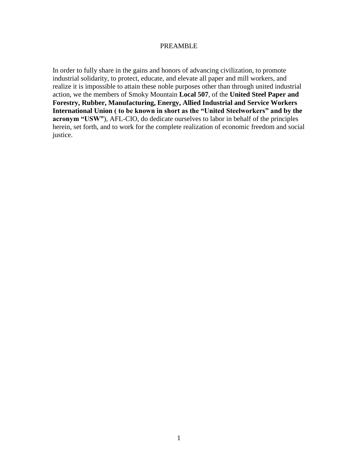#### PREAMBLE

In order to fully share in the gains and honors of advancing civilization, to promote industrial solidarity, to protect, educate, and elevate all paper and mill workers, and realize it is impossible to attain these noble purposes other than through united industrial action, we the members of Smoky Mountain **Local 507**, of the **United Steel Paper and Forestry, Rubber, Manufacturing, Energy, Allied Industrial and Service Workers International Union ( to be known in short as the "United Steelworkers" and by the acronym "USW"**), AFL-CIO, do dedicate ourselves to labor in behalf of the principles herein, set forth, and to work for the complete realization of economic freedom and social justice.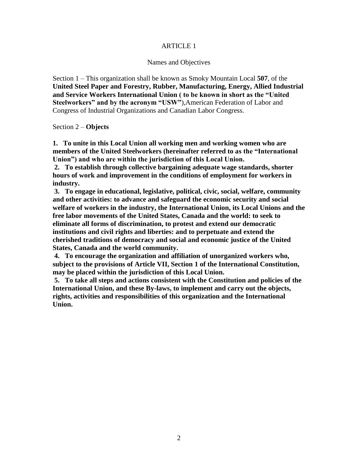### ARTICLE 1

#### Names and Objectives

Section 1 – This organization shall be known as Smoky Mountain Local **507**, of the **United Steel Paper and Forestry, Rubber, Manufacturing, Energy, Allied Industrial and Service Workers International Union ( to be known in short as the "United Steelworkers" and by the acronym "USW"**),American Federation of Labor and Congress of Industrial Organizations and Canadian Labor Congress.

Section 2 – **Objects**

**1. To unite in this Local Union all working men and working women who are members of the United Steelworkers (hereinafter referred to as the "International Union") and who are within the jurisdiction of this Local Union.**

**2. To establish through collective bargaining adequate wage standards, shorter hours of work and improvement in the conditions of employment for workers in industry.**

**3. To engage in educational, legislative, political, civic, social, welfare, community and other activities: to advance and safeguard the economic security and social welfare of workers in the industry, the International Union, its Local Unions and the free labor movements of the United States, Canada and the world: to seek to eliminate all forms of discrimination, to protest and extend our democratic institutions and civil rights and liberties: and to perpetuate and extend the cherished traditions of democracy and social and economic justice of the United States, Canada and the world community.**

**4. To encourage the organization and affiliation of unorganized workers who, subject to the provisions of Article VII, Section 1 of the International Constitution, may be placed within the jurisdiction of this Local Union.**

**5. To take all steps and actions consistent with the Constitution and policies of the International Union, and these By-laws, to implement and carry out the objects, rights, activities and responsibilities of this organization and the International Union.**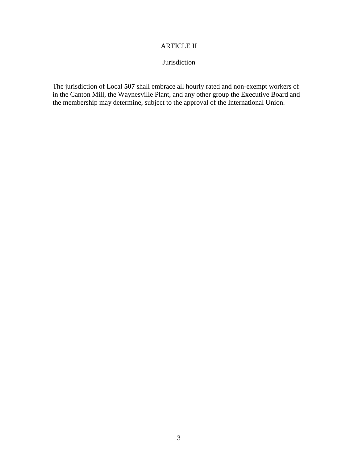## ARTICLE II

# Jurisdiction

The jurisdiction of Local **507** shall embrace all hourly rated and non-exempt workers of in the Canton Mill, the Waynesville Plant, and any other group the Executive Board and the membership may determine, subject to the approval of the International Union.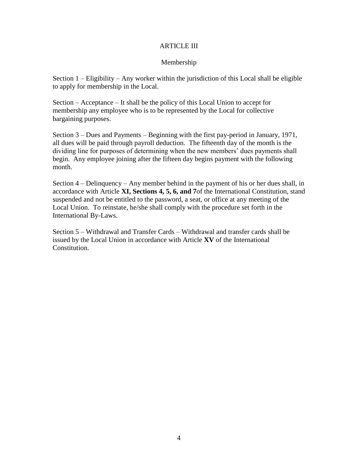#### ARTICLE III

### Membership

Section  $1 -$  Eligibility – Any worker within the jurisdiction of this Local shall be eligible to apply for membership in the Local.

Section – Acceptance – It shall be the policy of this Local Union to accept for membership any employee who is to be represented by the Local for collective bargaining purposes.

Section 3 – Dues and Payments – Beginning with the first pay-period in January, 1971, all dues will be paid through payroll deduction. The fifteenth day of the month is the dividing line for purposes of determining when the new members' dues payments shall begin. Any employee joining after the fifteen day begins payment with the following month.

Section 4 – Delinquency – Any member behind in the payment of his or her dues shall, in accordance with Article **XI, Sections 4, 5, 6, and 7**of the International Constitution, stand suspended and not be entitled to the password, a seat, or office at any meeting of the Local Union. To reinstate, he/she shall comply with the procedure set forth in the International By-Laws.

Section 5 – Withdrawal and Transfer Cards – Withdrawal and transfer cards shall be issued by the Local Union in accordance with Article **XV** of the International Constitution.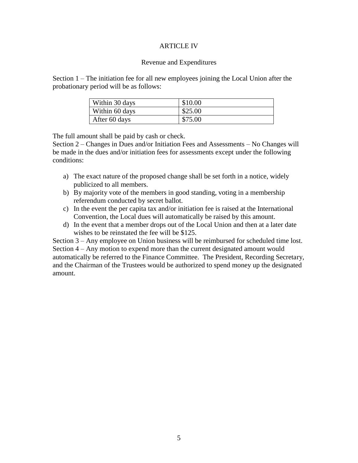#### ARTICLE IV

#### Revenue and Expenditures

Section 1 – The initiation fee for all new employees joining the Local Union after the probationary period will be as follows:

| Within 30 days | \$10.00 |
|----------------|---------|
| Within 60 days | \$25.00 |
| After 60 days  | \$75.00 |

The full amount shall be paid by cash or check.

Section 2 – Changes in Dues and/or Initiation Fees and Assessments – No Changes will be made in the dues and/or initiation fees for assessments except under the following conditions:

- a) The exact nature of the proposed change shall be set forth in a notice, widely publicized to all members.
- b) By majority vote of the members in good standing, voting in a membership referendum conducted by secret ballot.
- c) In the event the per capita tax and/or initiation fee is raised at the International Convention, the Local dues will automatically be raised by this amount.
- d) In the event that a member drops out of the Local Union and then at a later date wishes to be reinstated the fee will be \$125.

Section 3 – Any employee on Union business will be reimbursed for scheduled time lost. Section 4 – Any motion to expend more than the current designated amount would automatically be referred to the Finance Committee. The President, Recording Secretary, and the Chairman of the Trustees would be authorized to spend money up the designated amount.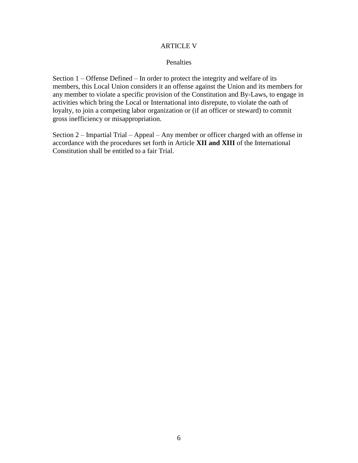#### ARTICLE V

#### Penalties

Section 1 – Offense Defined – In order to protect the integrity and welfare of its members, this Local Union considers it an offense against the Union and its members for any member to violate a specific provision of the Constitution and By-Laws, to engage in activities which bring the Local or International into disrepute, to violate the oath of loyalty, to join a competing labor organization or (if an officer or steward) to commit gross inefficiency or misappropriation.

Section 2 – Impartial Trial – Appeal – Any member or officer charged with an offense in accordance with the procedures set forth in Article **XII and XIII** of the International Constitution shall be entitled to a fair Trial.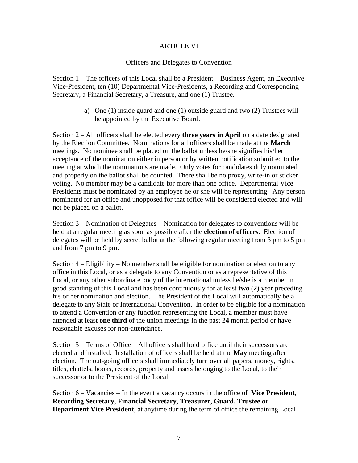#### ARTICLE VI

#### Officers and Delegates to Convention

Section 1 – The officers of this Local shall be a President – Business Agent, an Executive Vice-President, ten (10) Departmental Vice-Presidents, a Recording and Corresponding Secretary, a Financial Secretary, a Treasure, and one (1) Trustee.

> a) One (1) inside guard and one (1) outside guard and two (2) Trustees will be appointed by the Executive Board.

Section 2 – All officers shall be elected every **three years in April** on a date designated by the Election Committee. Nominations for all officers shall be made at the **March**  meetings. No nominee shall be placed on the ballot unless he/she signifies his/her acceptance of the nomination either in person or by written notification submitted to the meeting at which the nominations are made. Only votes for candidates duly nominated and properly on the ballot shall be counted. There shall be no proxy, write-in or sticker voting. No member may be a candidate for more than one office. Departmental Vice Presidents must be nominated by an employee he or she will be representing. Any person nominated for an office and unopposed for that office will be considered elected and will not be placed on a ballot.

Section 3 – Nomination of Delegates – Nomination for delegates to conventions will be held at a regular meeting as soon as possible after the **election of officers**. Election of delegates will be held by secret ballot at the following regular meeting from 3 pm to 5 pm and from 7 pm to 9 pm.

Section 4 – Eligibility – No member shall be eligible for nomination or election to any office in this Local, or as a delegate to any Convention or as a representative of this Local, or any other subordinate body of the international unless he/she is a member in good standing of this Local and has been continuously for at least **two** (**2**) year preceding his or her nomination and election. The President of the Local will automatically be a delegate to any State or International Convention. In order to be eligible for a nomination to attend a Convention or any function representing the Local, a member must have attended at least **one third** of the union meetings in the past **24** month period or have reasonable excuses for non-attendance.

Section 5 – Terms of Office – All officers shall hold office until their successors are elected and installed. Installation of officers shall be held at the **May** meeting after election. The out-going officers shall immediately turn over all papers, money, rights, titles, chattels, books, records, property and assets belonging to the Local, to their successor or to the President of the Local.

Section 6 – Vacancies – In the event a vacancy occurs in the office of **Vice President**, **Recording Secretary, Financial Secretary, Treasurer, Guard, Trustee or Department Vice President,** at anytime during the term of office the remaining Local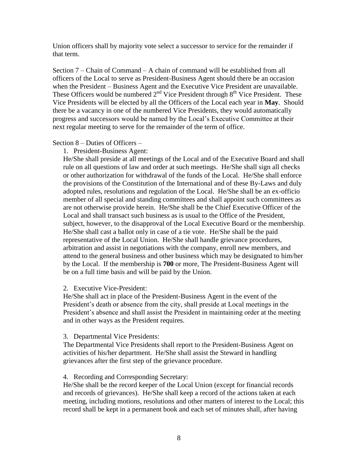Union officers shall by majority vote select a successor to service for the remainder if that term.

Section 7 – Chain of Command – A chain of command will be established from all officers of the Local to serve as President-Business Agent should there be an occasion when the President – Business Agent and the Executive Vice President are unavailable. These Officers would be numbered  $2<sup>nd</sup>$  Vice President through  $8<sup>th</sup>$  Vice President. These Vice Presidents will be elected by all the Officers of the Local each year in **May**. Should there be a vacancy in one of the numbered Vice Presidents, they would automatically progress and successors would be named by the Local's Executive Committee at their next regular meeting to serve for the remainder of the term of office.

Section 8 – Duties of Officers –

1. President-Business Agent:

He/She shall preside at all meetings of the Local and of the Executive Board and shall rule on all questions of law and order at such meetings. He/She shall sign all checks or other authorization for withdrawal of the funds of the Local. He/She shall enforce the provisions of the Constitution of the International and of these By-Laws and duly adopted rules, resolutions and regulation of the Local. He/She shall be an ex-officio member of all special and standing committees and shall appoint such committees as are not otherwise provide herein. He/She shall be the Chief Executive Officer of the Local and shall transact such business as is usual to the Office of the President, subject, however, to the disapproval of the Local Executive Board or the membership. He/She shall cast a ballot only in case of a tie vote. He/She shall be the paid representative of the Local Union. He/She shall handle grievance procedures, arbitration and assist in negotiations with the company, enroll new members, and attend to the general business and other business which may be designated to him/her by the Local. If the membership is **700** or more, The President-Business Agent will be on a full time basis and will be paid by the Union.

2. Executive Vice-President:

He/She shall act in place of the President-Business Agent in the event of the President's death or absence from the city, shall preside at Local meetings in the President's absence and shall assist the President in maintaining order at the meeting and in other ways as the President requires.

### 3. Departmental Vice Presidents:

The Departmental Vice Presidents shall report to the President-Business Agent on activities of his/her department. He/She shall assist the Steward in handling grievances after the first step of the grievance procedure.

# 4. Recording and Corresponding Secretary:

He/She shall be the record keeper of the Local Union (except for financial records and records of grievances). He/She shall keep a record of the actions taken at each meeting, including motions, resolutions and other matters of interest to the Local; this record shall be kept in a permanent book and each set of minutes shall, after having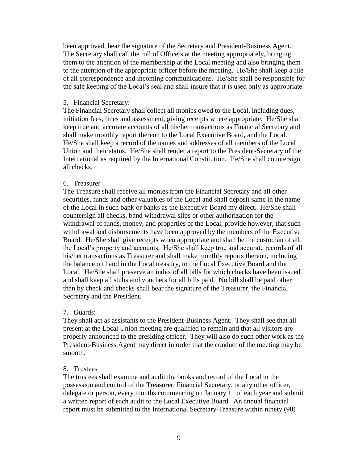been approved, bear the signature of the Secretary and President-Business Agent. The Secretary shall call the roll of Officers at the meeting appropriately, bringing them to the attention of the membership at the Local meeting and also bringing them to the attention of the appropriate officer before the meeting. He/She shall keep a file of all correspondence and incoming communications. He/She shall be responsible for the safe keeping of the Local's seal and shall insure that it is used only as appropriate.

#### 5. Financial Secretary:

The Financial Secretary shall collect all monies owed to the Local, including dues, initiation fees, fines and assessment, giving receipts where appropriate. He/She shall keep true and accurate accounts of all his/her transactions as Financial Secretary and shall make monthly report thereon to the Local Executive Board, and the Local. He/She shall keep a record of the names and addresses of all members of the Local Union and their status. He/She shall render a report to the President-Secretary of the International as required by the International Constitution. He/She shall countersign all checks.

### 6. Treasurer

The Treasure shall receive all monies from the Financial Secretary and all other securities, funds and other valuables of the Local and shall deposit same in the name of the Local in such bank or banks as the Executive Board my direct. He/She shall countersign all checks, band withdrawal slips or other authorization for the withdrawal of funds, money, and properties of the Local, provide however, that such withdrawal and disbursements have been approved by the members of the Executive Board. He/She shall give receipts when appropriate and shall be the custodian of all the Local's property and accounts. He/She shall keep true and accurate records of all his/her transactions as Treasurer and shall make monthly reports thereon, including the balance on hand in the Local treasury, to the Local Executive Board and the Local. He/She shall preserve an index of all bills for which checks have been issued and shall keep all stubs and vouchers for all bills paid. No bill shall be paid other than by check and checks shall bear the signature of the Treasurer, the Financial Secretary and the President.

### 7. Guards:

They shall act as assistants to the President-Business Agent. They shall see that all present at the Local Union meeting are qualified to remain and that all visitors are properly announced to the presiding officer. They will also do such other work as the President-Business Agent may direct in order that the conduct of the meeting may be smooth.

### 8. Trustees

The trustees shall examine and audit the books and record of the Local in the possession and control of the Treasurer, Financial Secretary, or any other officer, delegate or person, every months commencing on January  $1<sup>st</sup>$  of each year and submit a written report of each audit to the Local Executive Board. An annual financial report must be submitted to the International Secretary-Treasure within ninety (90)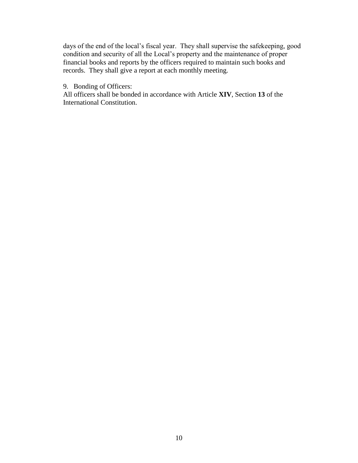days of the end of the local's fiscal year. They shall supervise the safekeeping, good condition and security of all the Local's property and the maintenance of proper financial books and reports by the officers required to maintain such books and records. They shall give a report at each monthly meeting.

## 9. Bonding of Officers:

All officers shall be bonded in accordance with Article **XIV**, Section **13** of the International Constitution.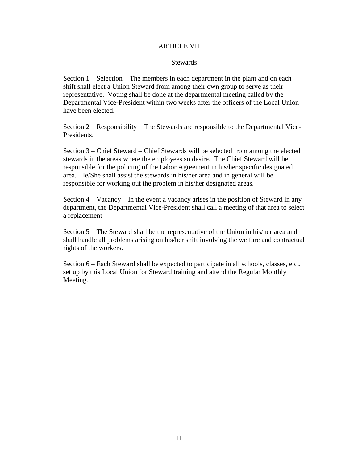#### ARTICLE VII

#### **Stewards**

Section 1 – Selection – The members in each department in the plant and on each shift shall elect a Union Steward from among their own group to serve as their representative. Voting shall be done at the departmental meeting called by the Departmental Vice-President within two weeks after the officers of the Local Union have been elected.

Section 2 – Responsibility – The Stewards are responsible to the Departmental Vice-Presidents.

Section 3 – Chief Steward – Chief Stewards will be selected from among the elected stewards in the areas where the employees so desire. The Chief Steward will be responsible for the policing of the Labor Agreement in his/her specific designated area. He/She shall assist the stewards in his/her area and in general will be responsible for working out the problem in his/her designated areas.

Section 4 – Vacancy – In the event a vacancy arises in the position of Steward in any department, the Departmental Vice-President shall call a meeting of that area to select a replacement

Section 5 – The Steward shall be the representative of the Union in his/her area and shall handle all problems arising on his/her shift involving the welfare and contractual rights of the workers.

Section 6 – Each Steward shall be expected to participate in all schools, classes, etc., set up by this Local Union for Steward training and attend the Regular Monthly Meeting.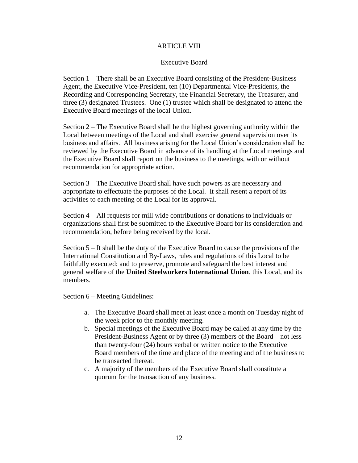#### ARTICLE VIII

#### Executive Board

Section 1 – There shall be an Executive Board consisting of the President-Business Agent, the Executive Vice-President, ten (10) Departmental Vice-Presidents, the Recording and Corresponding Secretary, the Financial Secretary, the Treasurer, and three (3) designated Trustees. One (1) trustee which shall be designated to attend the Executive Board meetings of the local Union.

Section 2 – The Executive Board shall be the highest governing authority within the Local between meetings of the Local and shall exercise general supervision over its business and affairs. All business arising for the Local Union's consideration shall be reviewed by the Executive Board in advance of its handling at the Local meetings and the Executive Board shall report on the business to the meetings, with or without recommendation for appropriate action.

Section 3 – The Executive Board shall have such powers as are necessary and appropriate to effectuate the purposes of the Local. It shall resent a report of its activities to each meeting of the Local for its approval.

Section 4 – All requests for mill wide contributions or donations to individuals or organizations shall first be submitted to the Executive Board for its consideration and recommendation, before being received by the local.

Section 5 – It shall be the duty of the Executive Board to cause the provisions of the International Constitution and By-Laws, rules and regulations of this Local to be faithfully executed; and to preserve, promote and safeguard the best interest and general welfare of the **United Steelworkers International Union**, this Local, and its members.

Section 6 – Meeting Guidelines:

- a. The Executive Board shall meet at least once a month on Tuesday night of the week prior to the monthly meeting.
- b. Special meetings of the Executive Board may be called at any time by the President-Business Agent or by three (3) members of the Board – not less than twenty-four (24) hours verbal or written notice to the Executive Board members of the time and place of the meeting and of the business to be transacted thereat.
- c. A majority of the members of the Executive Board shall constitute a quorum for the transaction of any business.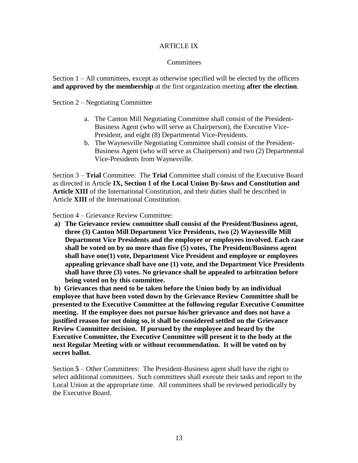#### ARTICLE IX

#### **Committees**

Section 1 – All committees, except as otherwise specified will be elected by the officers **and approved by the membership** at the first organization meeting **after the election**.

Section 2 – Negotiating Committee

- a. The Canton Mill Negotiating Committee shall consist of the President-Business Agent (who will serve as Chairperson), the Executive Vice-President, and eight (8) Departmental Vice-Presidents.
- b. The Waynesville Negotiating Committee shall consist of the President-Business Agent (who will serve as Chairperson) and two (2) Departmental Vice-Presidents from Waynesville.

Section 3 – **Trial** Committee: The **Trial** Committee shall consist of the Executive Board as directed in Article **IX, Section 1 of the Local Union By-laws and Constitution and Article XIII** of the International Constitution, and their duties shall be described in Article **XIII** of the International Constitution.

Section 4 – Grievance Review Committee:

**a) The Grievance review committee shall consist of the President/Business agent, three (3) Canton Mill Department Vice Presidents, two (2) Waynesville Mill Department Vice Presidents and the employee or employees involved. Each case shall be voted on by no more than five (5) votes, The President/Business agent shall have one(1) vote, Department Vice President and employee or employees appealing grievance shall have one (1) vote, and the Department Vice Presidents shall have three (3) votes. No grievance shall be appealed to arbitration before being voted on by this committee.**

**b) Grievances that need to be taken before the Union body by an individual employee that have been voted down by the Grievance Review Committee shall be presented to the Executive Committee at the following regular Executive Committee meeting. If the employee does not pursue his/her grievance and does not have a justified reason for not doing so, it shall be considered settled on the Grievance Review Committee decision. If pursued by the employee and heard by the Executive Committee, the Executive Committee will present it to the body at the next Regular Meeting with or without recommendation. It will be voted on by secret ballot.**

Section **5** – Other Committees: The President-Business agent shall have the right to select additional committees. Such committees shall execute their tasks and report to the Local Union at the appropriate time. All committees shall be reviewed periodically by the Executive Board.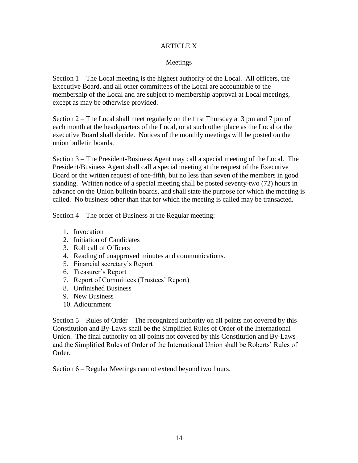## ARTICLE X

## Meetings

Section 1 – The Local meeting is the highest authority of the Local. All officers, the Executive Board, and all other committees of the Local are accountable to the membership of the Local and are subject to membership approval at Local meetings, except as may be otherwise provided.

Section 2 – The Local shall meet regularly on the first Thursday at 3 pm and 7 pm of each month at the headquarters of the Local, or at such other place as the Local or the executive Board shall decide. Notices of the monthly meetings will be posted on the union bulletin boards.

Section 3 – The President-Business Agent may call a special meeting of the Local. The President/Business Agent shall call a special meeting at the request of the Executive Board or the written request of one-fifth, but no less than seven of the members in good standing. Written notice of a special meeting shall be posted seventy-two (72) hours in advance on the Union bulletin boards, and shall state the purpose for which the meeting is called. No business other than that for which the meeting is called may be transacted.

Section 4 – The order of Business at the Regular meeting:

- 1. Invocation
- 2. Initiation of Candidates
- 3. Roll call of Officers
- 4. Reading of unapproved minutes and communications.
- 5. Financial secretary's Report
- 6. Treasurer's Report
- 7. Report of Committees (Trustees' Report)
- 8. Unfinished Business
- 9. New Business
- 10. Adjournment

Section 5 – Rules of Order – The recognized authority on all points not covered by this Constitution and By-Laws shall be the Simplified Rules of Order of the International Union. The final authority on all points not covered by this Constitution and By-Laws and the Simplified Rules of Order of the International Union shall be Roberts' Rules of Order.

Section 6 – Regular Meetings cannot extend beyond two hours.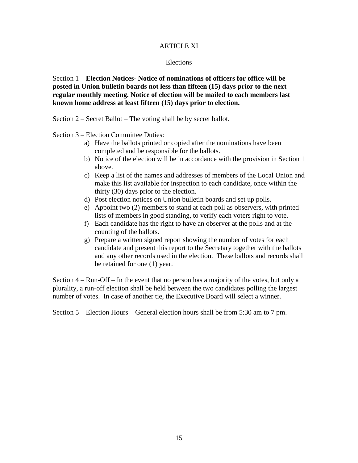#### ARTICLE XI

#### Elections

Section 1 – **Election Notices- Notice of nominations of officers for office will be posted in Union bulletin boards not less than fifteen (15) days prior to the next regular monthly meeting. Notice of election will be mailed to each members last known home address at least fifteen (15) days prior to election.** 

Section 2 – Secret Ballot – The voting shall be by secret ballot.

Section 3 – Election Committee Duties:

- a) Have the ballots printed or copied after the nominations have been completed and be responsible for the ballots.
- b) Notice of the election will be in accordance with the provision in Section 1 above.
- c) Keep a list of the names and addresses of members of the Local Union and make this list available for inspection to each candidate, once within the thirty (30) days prior to the election.
- d) Post election notices on Union bulletin boards and set up polls.
- e) Appoint two (2) members to stand at each poll as observers, with printed lists of members in good standing, to verify each voters right to vote.
- f) Each candidate has the right to have an observer at the polls and at the counting of the ballots.
- g) Prepare a written signed report showing the number of votes for each candidate and present this report to the Secretary together with the ballots and any other records used in the election. These ballots and records shall be retained for one (1) year.

Section 4 – Run-Off – In the event that no person has a majority of the votes, but only a plurality, a run-off election shall be held between the two candidates polling the largest number of votes. In case of another tie, the Executive Board will select a winner.

Section 5 – Election Hours – General election hours shall be from 5:30 am to 7 pm.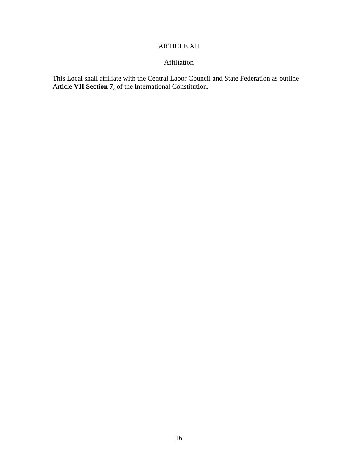# ARTICLE XII

# Affiliation

This Local shall affiliate with the Central Labor Council and State Federation as outline Article **VII Section 7,** of the International Constitution.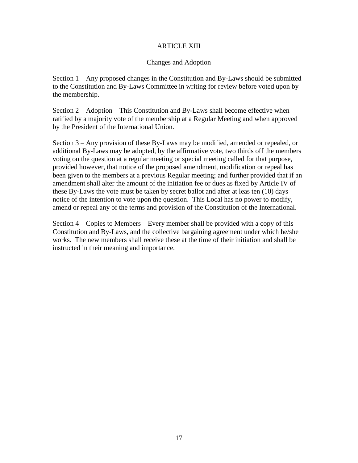#### ARTICLE XIII

#### Changes and Adoption

Section 1 – Any proposed changes in the Constitution and By-Laws should be submitted to the Constitution and By-Laws Committee in writing for review before voted upon by the membership.

Section 2 – Adoption – This Constitution and By-Laws shall become effective when ratified by a majority vote of the membership at a Regular Meeting and when approved by the President of the International Union.

Section 3 – Any provision of these By-Laws may be modified, amended or repealed, or additional By-Laws may be adopted, by the affirmative vote, two thirds off the members voting on the question at a regular meeting or special meeting called for that purpose, provided however, that notice of the proposed amendment, modification or repeal has been given to the members at a previous Regular meeting; and further provided that if an amendment shall alter the amount of the initiation fee or dues as fixed by Article IV of these By-Laws the vote must be taken by secret ballot and after at leas ten (10) days notice of the intention to vote upon the question. This Local has no power to modify, amend or repeal any of the terms and provision of the Constitution of the International.

Section 4 – Copies to Members – Every member shall be provided with a copy of this Constitution and By-Laws, and the collective bargaining agreement under which he/she works. The new members shall receive these at the time of their initiation and shall be instructed in their meaning and importance.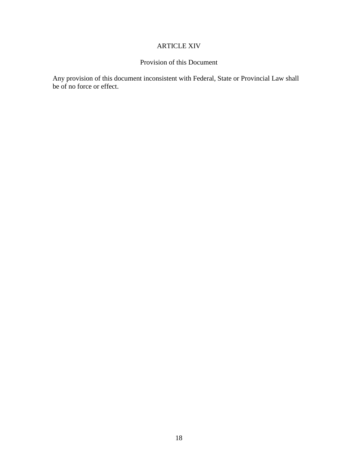# ARTICLE XIV

# Provision of this Document

Any provision of this document inconsistent with Federal, State or Provincial Law shall be of no force or effect.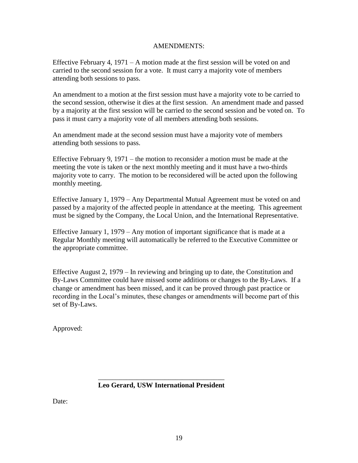#### AMENDMENTS:

Effective February 4,  $1971 - A$  motion made at the first session will be voted on and carried to the second session for a vote. It must carry a majority vote of members attending both sessions to pass.

An amendment to a motion at the first session must have a majority vote to be carried to the second session, otherwise it dies at the first session. An amendment made and passed by a majority at the first session will be carried to the second session and be voted on. To pass it must carry a majority vote of all members attending both sessions.

An amendment made at the second session must have a majority vote of members attending both sessions to pass.

Effective February 9, 1971 – the motion to reconsider a motion must be made at the meeting the vote is taken or the next monthly meeting and it must have a two-thirds majority vote to carry. The motion to be reconsidered will be acted upon the following monthly meeting.

Effective January 1, 1979 – Any Departmental Mutual Agreement must be voted on and passed by a majority of the affected people in attendance at the meeting. This agreement must be signed by the Company, the Local Union, and the International Representative.

Effective January 1, 1979 – Any motion of important significance that is made at a Regular Monthly meeting will automatically be referred to the Executive Committee or the appropriate committee.

Effective August 2, 1979 – In reviewing and bringing up to date, the Constitution and By-Laws Committee could have missed some additions or changes to the By-Laws. If a change or amendment has been missed, and it can be proved through past practice or recording in the Local's minutes, these changes or amendments will become part of this set of By-Laws.

Approved:

 **Leo Gerard, USW International President**

 $\frac{1}{2}$  ,  $\frac{1}{2}$  ,  $\frac{1}{2}$  ,  $\frac{1}{2}$  ,  $\frac{1}{2}$  ,  $\frac{1}{2}$  ,  $\frac{1}{2}$  ,  $\frac{1}{2}$  ,  $\frac{1}{2}$  ,  $\frac{1}{2}$  ,  $\frac{1}{2}$  ,  $\frac{1}{2}$  ,  $\frac{1}{2}$  ,  $\frac{1}{2}$  ,  $\frac{1}{2}$  ,  $\frac{1}{2}$  ,  $\frac{1}{2}$  ,  $\frac{1}{2}$  ,  $\frac{1$ 

Date: